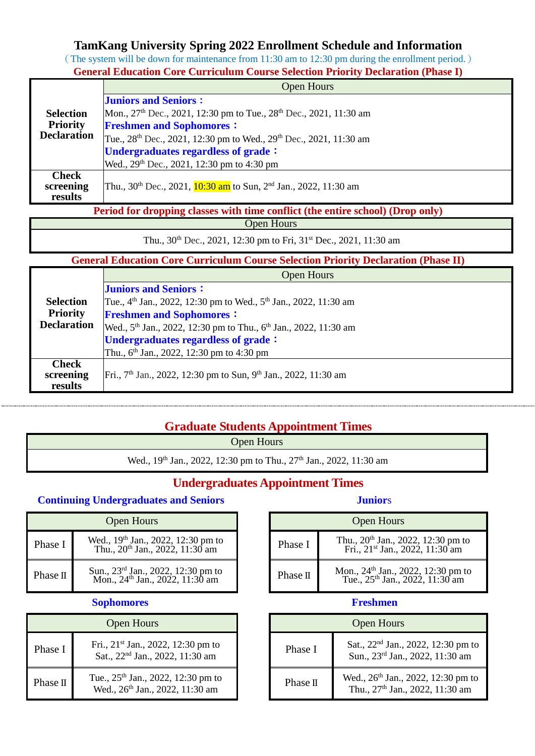# **TamKang University Spring 2022 Enrollment Schedule and Information**

(The system will be down for maintenance from 11:30 am to 12:30 pm during the enrollment period.)

| <b>General Education Core Curriculum Course Selection Priority Declaration (Phase I)</b> |
|------------------------------------------------------------------------------------------|
| $\Omega$ nan $H_{\Omega U}$ rc                                                           |

|                    | <b>Open Hours</b>                                                                                                                                                                                                           |  |  |
|--------------------|-----------------------------------------------------------------------------------------------------------------------------------------------------------------------------------------------------------------------------|--|--|
|                    | <b>Juniors and Seniors:</b>                                                                                                                                                                                                 |  |  |
| <b>Selection</b>   | Mon., 27 <sup>th</sup> Dec., 2021, 12:30 pm to Tue., 28 <sup>th</sup> Dec., 2021, 11:30 am                                                                                                                                  |  |  |
| <b>Priority</b>    | <b>Freshmen and Sophomores:</b>                                                                                                                                                                                             |  |  |
| <b>Declaration</b> | Tue., 28 <sup>th</sup> Dec., 2021, 12:30 pm to Wed., 29 <sup>th</sup> Dec., 2021, 11:30 am                                                                                                                                  |  |  |
|                    | Undergraduates regardless of grade:                                                                                                                                                                                         |  |  |
|                    | Wed., 29 <sup>th</sup> Dec., 2021, 12:30 pm to 4:30 pm                                                                                                                                                                      |  |  |
| <b>Check</b>       |                                                                                                                                                                                                                             |  |  |
| screening          | Thu., 30 <sup>th</sup> Dec., 2021, 10:30 am to Sun, 2 <sup>nd</sup> Jan., 2022, 11:30 am                                                                                                                                    |  |  |
| results            | <b><i>Property State Committee State Committee State Committee State Committee State Committee State Committee State Committee State Committee State Committee State Committee State Committee</i></b><br><b>STATISTICS</b> |  |  |

**Period for dropping classes with time conflict (the entire school) (Drop only)**

Open Hours

Thu.,  $30^{th}$  Dec.,  $2021$ ,  $12:30$  pm to Fri,  $31^{st}$  Dec.,  $2021$ ,  $11:30$  am

# **General Education Core Curriculum Course Selection Priority Declaration (Phase II)**

|                                      | <b>Open Hours</b>                                                                        |  |  |  |  |  |
|--------------------------------------|------------------------------------------------------------------------------------------|--|--|--|--|--|
|                                      | <b>Juniors and Seniors:</b>                                                              |  |  |  |  |  |
| <b>Selection</b>                     | Tue., 4 <sup>th</sup> Jan., 2022, 12:30 pm to Wed., 5 <sup>th</sup> Jan., 2022, 11:30 am |  |  |  |  |  |
| <b>Priority</b>                      | <b>Freshmen and Sophomores:</b>                                                          |  |  |  |  |  |
| <b>Declaration</b>                   | Wed., 5 <sup>th</sup> Jan., 2022, 12:30 pm to Thu., 6 <sup>th</sup> Jan., 2022, 11:30 am |  |  |  |  |  |
|                                      | Undergraduates regardless of grade:                                                      |  |  |  |  |  |
|                                      | Thu., 6 <sup>th</sup> Jan., 2022, 12:30 pm to 4:30 pm                                    |  |  |  |  |  |
| <b>Check</b><br>screening<br>results | Fri., 7 <sup>th</sup> Jan., 2022, 12:30 pm to Sun, 9 <sup>th</sup> Jan., 2022, 11:30 am  |  |  |  |  |  |

# **Graduate Students Appointment Times**

Open Hours

Wed., 19<sup>th</sup> Jan., 2022, 12:30 pm to Thu., 27<sup>th</sup> Jan., 2022, 11:30 am

# **Undergraduates Appointment Times**

# **Continuing Undergraduates and Seniors Junior**s

| <b>Open Hours</b> |                                                                                               |  |  |  |  |
|-------------------|-----------------------------------------------------------------------------------------------|--|--|--|--|
| Phase I           | Wed., 19 <sup>th</sup> Jan., 2022, 12:30 pm to<br>Thu., 20 <sup>th</sup> Jan., 2022, 11:30 am |  |  |  |  |
| Phase II          | Sun., 23 <sup>rd</sup> Jan., 2022, 12:30 pm to<br>Mon., 24 <sup>th</sup> Jan., 2022, 11:30 am |  |  |  |  |

### **Sophomores Freshmen**

| <b>Open Hours</b> |                                                                                               |  |  |  |
|-------------------|-----------------------------------------------------------------------------------------------|--|--|--|
| Phase I           | Fri., 21 <sup>st</sup> Jan., 2022, 12:30 pm to<br>Sat., 22 <sup>nd</sup> Jan., 2022, 11:30 am |  |  |  |
| Phase II          | Tue., 25 <sup>th</sup> Jan., 2022, 12:30 pm to<br>Wed., 26th Jan., 2022, 11:30 am             |  |  |  |

| <b>Open Hours</b>                                                                                         | <b>Open Hours</b> |                                                                                               |
|-----------------------------------------------------------------------------------------------------------|-------------------|-----------------------------------------------------------------------------------------------|
| Ved., 19 <sup>th</sup> Jan., 2022, 12:30 pm to<br>Thu., 20 <sup>th</sup> Jan., 2022, 11:30 am             | Phase I           | Thu., 20 <sup>th</sup> Jan., 2022, 12:30 pm to<br>Fri., 21 <sup>st</sup> Jan., 2022, 11:30 am |
| <sup>1</sup> un., 23 <sup>rd</sup> Jan., 2022, 12:30 pm to<br>Mon., 24 <sup>th</sup> Jan., 2022, 11:30 am | Phase II          | Mon., 24 <sup>th</sup> Jan., 2022, 12:30 pm to<br>Tue., 25 <sup>th</sup> Jan., 2022, 11:30 am |

| <b>Open Hours</b>                                                                             |          | <b>Open Hours</b>                                                                             |
|-----------------------------------------------------------------------------------------------|----------|-----------------------------------------------------------------------------------------------|
| Fri., 21 <sup>st</sup> Jan., 2022, 12:30 pm to<br>Sat., 22 <sup>nd</sup> Jan., 2022, 11:30 am | Phase I  | Sat., 22 <sup>nd</sup> Jan., 2022, 12:30 pm to<br>Sun., 23rd Jan., 2022, 11:30 am             |
| Tue., $25th$ Jan., 2022, 12:30 pm to<br>Wed., 26 <sup>th</sup> Jan., 2022, 11:30 am           | Phase II | Wed., 26 <sup>th</sup> Jan., 2022, 12:30 pm to<br>Thu., 27 <sup>th</sup> Jan., 2022, 11:30 am |